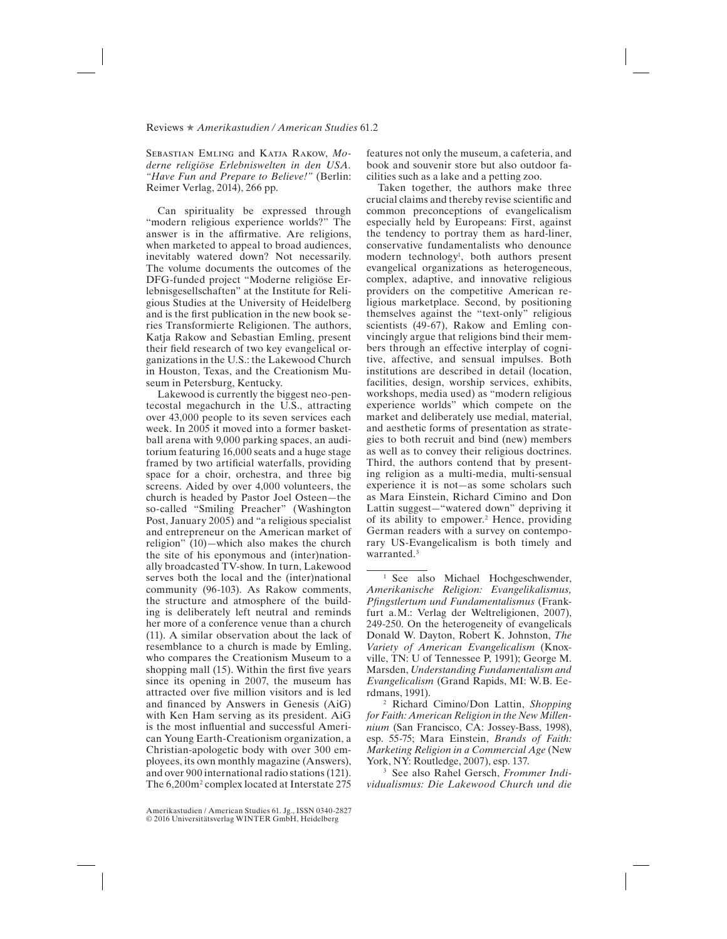## Reviews ★ *Amerikastudien / American Studies* 61.2

Sebastian Emling and Katja Rakow, *Moderne religiöse Erlebniswelten in den USA. "Have Fun and Prepare to Believe!"* (Berlin: Reimer Verlag, 2014), 266 pp.

Can spirituality be expressed through "modern religious experience worlds?" The answer is in the affrmative. Are religions, when marketed to appeal to broad audiences, inevitably watered down? Not necessarily. The volume documents the outcomes of the DFG-funded project "Moderne religiöse Erlebnisgesellschaften" at the Institute for Religious Studies at the University of Heidelberg and is the frst publication in the new book series Transformierte Religionen. The authors, Katja Rakow and Sebastian Emling, present their feld research of two key evangelical organizations in the U.S.: the Lakewood Church in Houston, Texas, and the Creationism Museum in Petersburg, Kentucky.

Lakewood is currently the biggest neo‐pentecostal megachurch in the U.S., attracting over 43,000 people to its seven services each week. In 2005 it moved into a former basketball arena with 9,000 parking spaces, an auditorium featuring 16,000 seats and a huge stage framed by two artifcial waterfalls, providing space for a choir, orchestra, and three big screens. Aided by over 4,000 volunteers, the church is headed by Pastor Joel Osteen—the so-called "Smiling Preacher" (Washington Post, January 2005) and "a religious specialist and entrepreneur on the American market of religion" (10)—which also makes the church the site of his eponymous and (inter)nationally broadcasted TV-show. In turn, Lakewood serves both the local and the (inter)national community (96-103). As Rakow comments, the structure and atmosphere of the building is deliberately left neutral and reminds her more of a conference venue than a church (11). A similar observation about the lack of resemblance to a church is made by Emling, who compares the Creationism Museum to a shopping mall (15). Within the first five years since its opening in 2007, the museum has attracted over fve million visitors and is led and fnanced by Answers in Genesis (AiG) with Ken Ham serving as its president. AiG is the most infuential and successful American Young Earth-Creationism organization, a Christian-apologetic body with over 300 employees, its own monthly magazine (Answers), and over 900 international radio stations (121). The 6,200m<sup>2</sup> complex located at Interstate 275

Amerikastudien / American Studies 61. Jg., ISSN 0340-2827 © 2016 Universitätsverlag WINTER GmbH, Heidelberg

features not only the museum, a cafeteria, and book and souvenir store but also outdoor facilities such as a lake and a petting zoo.

Taken together, the authors make three crucial claims and thereby revise scientifc and common preconceptions of evangelicalism especially held by Europeans: First, against the tendency to portray them as hard-liner, conservative fundamentalists who denounce modern technology<sup>1</sup>, both authors present evangelical organizations as heterogeneous, complex, adaptive, and innovative religious providers on the competitive American religious marketplace. Second, by positioning themselves against the "text-only" religious scientists (49-67), Rakow and Emling convincingly argue that religions bind their members through an effective interplay of cognitive, affective, and sensual impulses. Both institutions are described in detail (location, facilities, design, worship services, exhibits, workshops, media used) as "modern religious experience worlds" which compete on the market and deliberately use medial, material, and aesthetic forms of presentation as strategies to both recruit and bind (new) members as well as to convey their religious doctrines. Third, the authors contend that by presenting religion as a multi-media, multi-sensual experience it is not—as some scholars such as Mara Einstein, Richard Cimino and Don Lattin suggest—"watered down" depriving it of its ability to empower.<sup>2</sup> Hence, providing German readers with a survey on contemporary US-Evangelicalism is both timely and warranted.<sup>3</sup>

<sup>1</sup> See also Michael Hochgeschwender, *Amerikanische Religion: Evangelikalismus, Pfngstlertum und Fundamentalismus* (Frankfurt a.M.: Verlag der Weltreligionen, 2007), 249-250. On the heterogeneity of evangelicals Donald W. Dayton, Robert K. Johnston, *The Variety of American Evangelicalism* (Knoxville, TN: U of Tennessee P, 1991); George M. Marsden, *Understanding Fundamentalism and Evangelicalism* (Grand Rapids, MI: W.B. Eerdmans, 1991).

<sup>2</sup> Richard Cimino/Don Lattin, *Shopping for Faith: American Religion in the New Millennium* (San Francisco, CA: Jossey-Bass, 1998), esp. 55-75; Mara Einstein, *Brands of Faith: Marketing Religion in a Commercial Age* (New York, NY: Routledge, 2007), esp. 137.

<sup>3</sup> See also Rahel Gersch, *Frommer Individualismus: Die Lakewood Church und die*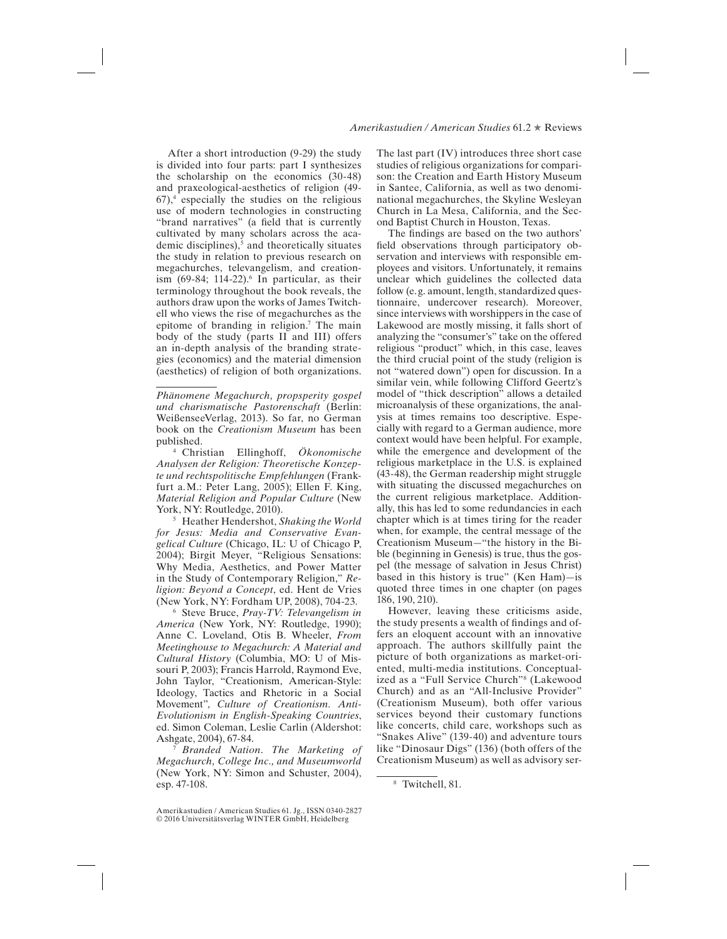## *Amerikastudien / American Studies* 61.2 ★ Reviews

After a short introduction (9-29) the study is divided into four parts: part I synthesizes the scholarship on the economics (30-48) and praxeological-aesthetics of religion (49-  $67$ ,<sup>4</sup> especially the studies on the religious use of modern technologies in constructing "brand narratives" (a feld that is currently cultivated by many scholars across the academic disciplines),<sup>5</sup> and theoretically situates the study in relation to previous research on megachurches, televangelism, and creationism  $(69-84; 114-22)$ .<sup>6</sup> In particular, as their terminology throughout the book reveals, the authors draw upon the works of James Twitchell who views the rise of megachurches as the epitome of branding in religion.7 The main body of the study (parts II and III) offers an in-depth analysis of the branding strategies (economics) and the material dimension (aesthetics) of religion of both organizations.

<sup>4</sup> Christian Ellinghoff, *Ökonomische Analysen der Religion: Theoretische Konzepte und rechtspolitische Empfehlungen* (Frankfurt a.M.: Peter Lang, 2005); Ellen F. King, *Material Religion and Popular Culture* (New York, NY: Routledge, 2010).

<sup>5</sup> Heather Hendershot, *Shaking the World for Jesus: Media and Conservative Evangelical Culture* (Chicago, IL: U of Chicago P, 2004); Birgit Meyer, "Religious Sensations: Why Media, Aesthetics, and Power Matter in the Study of Contemporary Religion," *Religion: Beyond a Concept*, ed. Hent de Vries (New York, NY: Fordham UP, 2008), 704-23.

<sup>6</sup> Steve Bruce, *Pray-TV: Televangelism in America* (New York, NY: Routledge, 1990); Anne C. Loveland, Otis B. Wheeler, *From Meetinghouse to Megachurch: A Material and Cultural History* (Columbia, MO: U of Missouri P, 2003); Francis Harrold, Raymond Eve, John Taylor, "Creationism, American-Style: Ideology, Tactics and Rhetoric in a Social Movement", *Culture of Creationism. Anti-Evolutionism in English-Speaking Countries*, ed. Simon Coleman, Leslie Carlin (Aldershot: Ashgate, 2004), 67-84.

<sup>7</sup> *Branded Nation*. *The Marketing of Megachurch, College Inc., and Museumworld* (New York, NY: Simon and Schuster, 2004), esp. 47-108.

The last part (IV) introduces three short case studies of religious organizations for comparison: the Creation and Earth History Museum in Santee, California, as well as two denominational megachurches, the Skyline Wesleyan Church in La Mesa, California, and the Second Baptist Church in Houston, Texas.

The fndings are based on the two authors' feld observations through participatory observation and interviews with responsible employees and visitors. Unfortunately, it remains unclear which guidelines the collected data follow (e.g. amount, length, standardized questionnaire, undercover research). Moreover, since interviews with worshippers in the case of Lakewood are mostly missing, it falls short of analyzing the "consumer's" take on the offered religious "product" which, in this case, leaves the third crucial point of the study (religion is not "watered down") open for discussion. In a similar vein, while following Clifford Geertz's model of "thick description" allows a detailed microanalysis of these organizations, the analysis at times remains too descriptive. Especially with regard to a German audience, more context would have been helpful. For example, while the emergence and development of the religious marketplace in the U.S. is explained (43-48), the German readership might struggle with situating the discussed megachurches on the current religious marketplace. Additionally, this has led to some redundancies in each chapter which is at times tiring for the reader when, for example, the central message of the Creationism Museum—"the history in the Bible (beginning in Genesis) is true, thus the gospel (the message of salvation in Jesus Christ) based in this history is true" (Ken Ham)—is quoted three times in one chapter (on pages 186, 190, 210).

However, leaving these criticisms aside, the study presents a wealth of fndings and offers an eloquent account with an innovative approach. The authors skillfully paint the picture of both organizations as market-oriented, multi-media institutions. Conceptualized as a "Full Service Church"8 (Lakewood Church) and as an "All-Inclusive Provider" (Creationism Museum), both offer various services beyond their customary functions like concerts, child care, workshops such as "Snakes Alive" (139-40) and adventure tours like "Dinosaur Digs" (136) (both offers of the Creationism Museum) as well as advisory ser-

*Phänomene Megachurch, propsperity gospel und charismatische Pastorenschaft* (Berlin: WeißenseeVerlag, 2013). So far, no German book on the *Creationism Museum* has been published.

Amerikastudien / American Studies 61. Jg., ISSN 0340-2827 © 2016 Universitätsverlag WINTER GmbH, Heidelberg

<sup>8</sup> Twitchell, 81.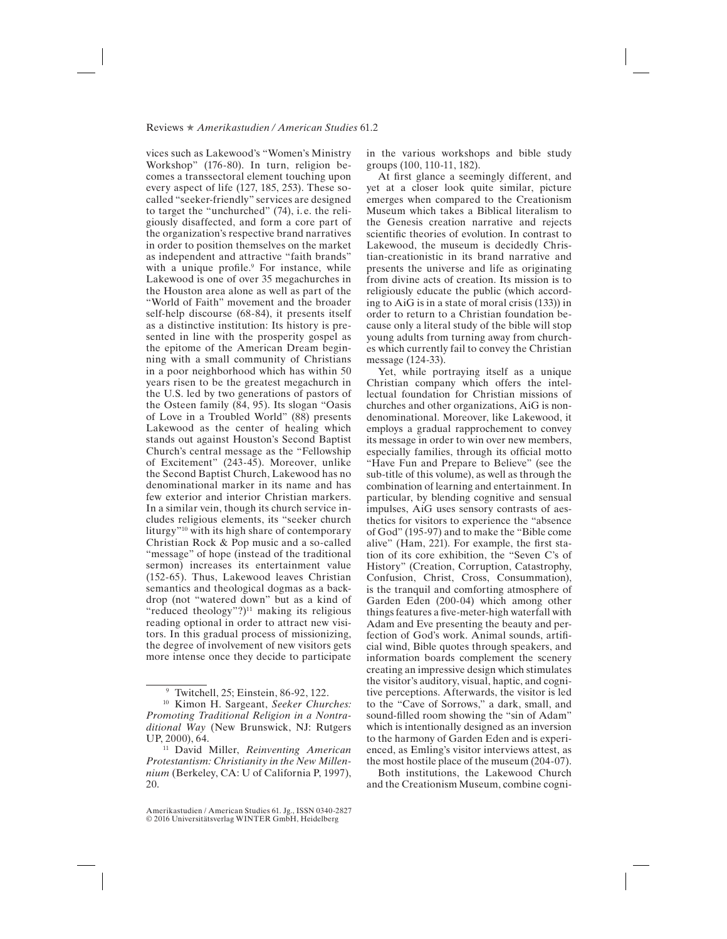## Reviews ★ *Amerikastudien / American Studies* 61.2

vices such as Lakewood's "Women's Ministry Workshop" (176-80). In turn, religion becomes a transsectoral element touching upon every aspect of life (127, 185, 253). These socalled "seeker-friendly" services are designed to target the "unchurched" (74), i. e. the religiously disaffected, and form a core part of the organization's respective brand narratives in order to position themselves on the market as independent and attractive "faith brands" with a unique profile.<sup>9</sup> For instance, while Lakewood is one of over 35 megachurches in the Houston area alone as well as part of the "World of Faith" movement and the broader self-help discourse (68-84), it presents itself as a distinctive institution: Its history is presented in line with the prosperity gospel as the epitome of the American Dream beginning with a small community of Christians in a poor neighborhood which has within 50 years risen to be the greatest megachurch in the U.S. led by two generations of pastors of the Osteen family (84, 95). Its slogan "Oasis of Love in a Troubled World" (88) presents Lakewood as the center of healing which stands out against Houston's Second Baptist Church's central message as the "Fellowship of Excitement" (243-45). Moreover, unlike the Second Baptist Church, Lakewood has no denominational marker in its name and has few exterior and interior Christian markers. In a similar vein, though its church service includes religious elements, its "seeker church liturgy"10 with its high share of contemporary Christian Rock & Pop music and a so-called "message" of hope (instead of the traditional sermon) increases its entertainment value (152-65). Thus, Lakewood leaves Christian semantics and theological dogmas as a backdrop (not "watered down" but as a kind of "reduced theology"?) $11$  making its religious reading optional in order to attract new visitors. In this gradual process of missionizing, the degree of involvement of new visitors gets more intense once they decide to participate

in the various workshops and bible study groups (100, 110-11, 182).

At first glance a seemingly different, and yet at a closer look quite similar, picture emerges when compared to the Creationism Museum which takes a Biblical literalism to the Genesis creation narrative and rejects scientifc theories of evolution. In contrast to Lakewood, the museum is decidedly Christian-creationistic in its brand narrative and presents the universe and life as originating from divine acts of creation. Its mission is to religiously educate the public (which according to AiG is in a state of moral crisis (133)) in order to return to a Christian foundation because only a literal study of the bible will stop young adults from turning away from churches which currently fail to convey the Christian message (124-33).

Yet, while portraying itself as a unique Christian company which offers the intellectual foundation for Christian missions of churches and other organizations, AiG is nondenominational. Moreover, like Lakewood, it employs a gradual rapprochement to convey its message in order to win over new members, especially families, through its official motto "Have Fun and Prepare to Believe" (see the sub-title of this volume), as well as through the combination of learning and entertainment. In particular, by blending cognitive and sensual impulses, AiG uses sensory contrasts of aesthetics for visitors to experience the "absence of God" (195-97) and to make the "Bible come alive" (Ham, 221). For example, the frst station of its core exhibition, the "Seven C's of History" (Creation, Corruption, Catastrophy, Confusion, Christ, Cross, Consummation), is the tranquil and comforting atmosphere of Garden Eden (200-04) which among other things features a fve-meter-high waterfall with Adam and Eve presenting the beauty and perfection of God's work. Animal sounds, artifcial wind, Bible quotes through speakers, and information boards complement the scenery creating an impressive design which stimulates the visitor's auditory, visual, haptic, and cognitive perceptions. Afterwards, the visitor is led to the "Cave of Sorrows," a dark, small, and sound-flled room showing the "sin of Adam" which is intentionally designed as an inversion to the harmony of Garden Eden and is experienced, as Emling's visitor interviews attest, as the most hostile place of the museum (204-07).

Both institutions, the Lakewood Church and the Creationism Museum, combine cogni-

<sup>9</sup> Twitchell, 25; Einstein, 86-92, 122.

<sup>10</sup> Kimon H. Sargeant, *Seeker Churches: Promoting Traditional Religion in a Nontraditional Way* (New Brunswick, NJ: Rutgers UP, 2000), 64.

<sup>11</sup> David Miller, *Reinventing American Protestantism: Christianity in the New Millennium* (Berkeley, CA: U of California P, 1997), 20.

Amerikastudien / American Studies 61. Jg., ISSN 0340-2827 © 2016 Universitätsverlag WINTER GmbH, Heidelberg